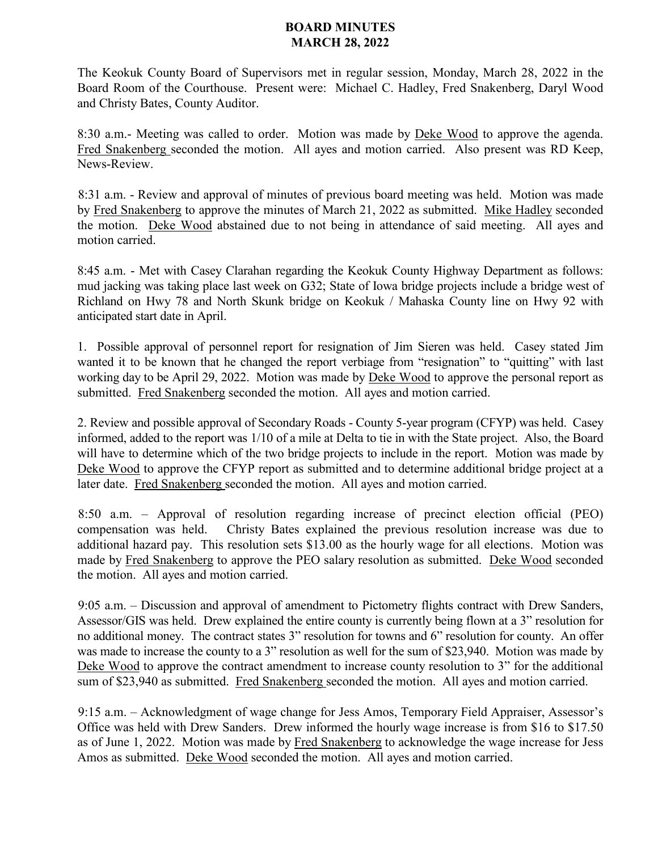## **BOARD MINUTES MARCH 28, 2022**

The Keokuk County Board of Supervisors met in regular session, Monday, March 28, 2022 in the Board Room of the Courthouse. Present were: Michael C. Hadley, Fred Snakenberg, Daryl Wood and Christy Bates, County Auditor.

8:30 a.m.- Meeting was called to order. Motion was made by Deke Wood to approve the agenda. Fred Snakenberg seconded the motion. All ayes and motion carried. Also present was RD Keep, News-Review.

8:31 a.m. - Review and approval of minutes of previous board meeting was held. Motion was made by Fred Snakenberg to approve the minutes of March 21, 2022 as submitted. Mike Hadley seconded the motion. Deke Wood abstained due to not being in attendance of said meeting. All ayes and motion carried.

8:45 a.m. - Met with Casey Clarahan regarding the Keokuk County Highway Department as follows: mud jacking was taking place last week on G32; State of Iowa bridge projects include a bridge west of Richland on Hwy 78 and North Skunk bridge on Keokuk / Mahaska County line on Hwy 92 with anticipated start date in April.

1. Possible approval of personnel report for resignation of Jim Sieren was held. Casey stated Jim wanted it to be known that he changed the report verbiage from "resignation" to "quitting" with last working day to be April 29, 2022. Motion was made by Deke Wood to approve the personal report as submitted. Fred Snakenberg seconded the motion. All ayes and motion carried.

2. Review and possible approval of Secondary Roads - County 5-year program (CFYP) was held. Casey informed, added to the report was 1/10 of a mile at Delta to tie in with the State project. Also, the Board will have to determine which of the two bridge projects to include in the report. Motion was made by Deke Wood to approve the CFYP report as submitted and to determine additional bridge project at a later date. Fred Snakenberg seconded the motion. All ayes and motion carried.

8:50 a.m. – Approval of resolution regarding increase of precinct election official (PEO) compensation was held. Christy Bates explained the previous resolution increase was due to additional hazard pay. This resolution sets \$13.00 as the hourly wage for all elections. Motion was made by Fred Snakenberg to approve the PEO salary resolution as submitted. Deke Wood seconded the motion. All ayes and motion carried.

9:05 a.m. – Discussion and approval of amendment to Pictometry flights contract with Drew Sanders, Assessor/GIS was held. Drew explained the entire county is currently being flown at a 3" resolution for no additional money. The contract states 3" resolution for towns and 6" resolution for county. An offer was made to increase the county to a 3" resolution as well for the sum of \$23,940. Motion was made by Deke Wood to approve the contract amendment to increase county resolution to 3" for the additional sum of \$23,940 as submitted. Fred Snakenberg seconded the motion. All ayes and motion carried.

9:15 a.m. – Acknowledgment of wage change for Jess Amos, Temporary Field Appraiser, Assessor's Office was held with Drew Sanders. Drew informed the hourly wage increase is from \$16 to \$17.50 as of June 1, 2022. Motion was made by Fred Snakenberg to acknowledge the wage increase for Jess Amos as submitted. Deke Wood seconded the motion. All ayes and motion carried.